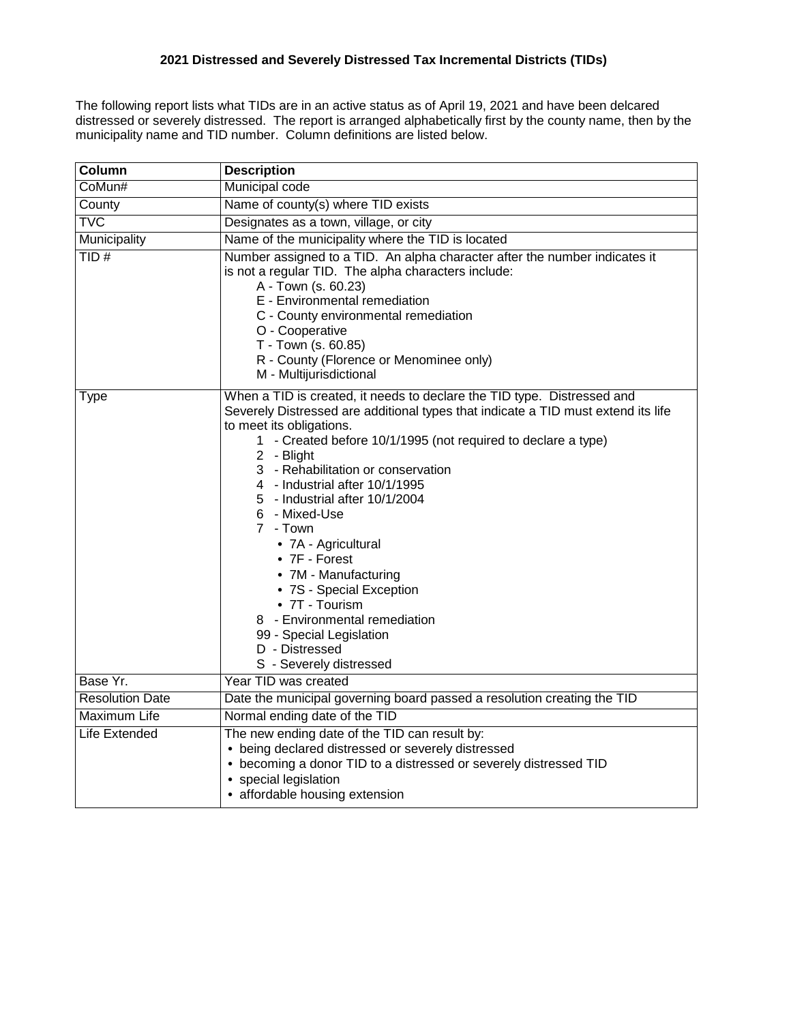The following report lists what TIDs are in an active status as of April 19, 2021 and have been delcared distressed or severely distressed. The report is arranged alphabetically first by the county name, then by the municipality name and TID number. Column definitions are listed below.

| Column                  | <b>Description</b>                                                                                                                                                                                                                                                                                                                                                                                                                                                                                                                                                                                                                     |  |  |  |  |  |
|-------------------------|----------------------------------------------------------------------------------------------------------------------------------------------------------------------------------------------------------------------------------------------------------------------------------------------------------------------------------------------------------------------------------------------------------------------------------------------------------------------------------------------------------------------------------------------------------------------------------------------------------------------------------------|--|--|--|--|--|
| CoMun#                  | Municipal code                                                                                                                                                                                                                                                                                                                                                                                                                                                                                                                                                                                                                         |  |  |  |  |  |
| County                  | Name of county(s) where TID exists                                                                                                                                                                                                                                                                                                                                                                                                                                                                                                                                                                                                     |  |  |  |  |  |
| $\overline{\text{TVC}}$ | Designates as a town, village, or city                                                                                                                                                                                                                                                                                                                                                                                                                                                                                                                                                                                                 |  |  |  |  |  |
| Municipality            | Name of the municipality where the TID is located                                                                                                                                                                                                                                                                                                                                                                                                                                                                                                                                                                                      |  |  |  |  |  |
| TID#                    | Number assigned to a TID. An alpha character after the number indicates it<br>is not a regular TID. The alpha characters include:<br>A - Town (s. 60.23)<br>E - Environmental remediation<br>C - County environmental remediation<br>O - Cooperative<br>T - Town (s. 60.85)<br>R - County (Florence or Menominee only)<br>M - Multijurisdictional                                                                                                                                                                                                                                                                                      |  |  |  |  |  |
| <b>Type</b>             | When a TID is created, it needs to declare the TID type. Distressed and<br>Severely Distressed are additional types that indicate a TID must extend its life<br>to meet its obligations.<br>1 - Created before 10/1/1995 (not required to declare a type)<br>2 - Blight<br>3 - Rehabilitation or conservation<br>4 - Industrial after 10/1/1995<br>5 - Industrial after 10/1/2004<br>6 - Mixed-Use<br>7 - Town<br>• 7A - Agricultural<br>• 7F - Forest<br>• 7M - Manufacturing<br>• 7S - Special Exception<br>• 7T - Tourism<br>8 - Environmental remediation<br>99 - Special Legislation<br>D - Distressed<br>S - Severely distressed |  |  |  |  |  |
| Base Yr.                | Year TID was created                                                                                                                                                                                                                                                                                                                                                                                                                                                                                                                                                                                                                   |  |  |  |  |  |
| <b>Resolution Date</b>  | Date the municipal governing board passed a resolution creating the TID                                                                                                                                                                                                                                                                                                                                                                                                                                                                                                                                                                |  |  |  |  |  |
| <b>Maximum Life</b>     | Normal ending date of the TID                                                                                                                                                                                                                                                                                                                                                                                                                                                                                                                                                                                                          |  |  |  |  |  |
| <b>Life Extended</b>    | The new ending date of the TID can result by:<br>• being declared distressed or severely distressed<br>• becoming a donor TID to a distressed or severely distressed TID<br>• special legislation<br>• affordable housing extension                                                                                                                                                                                                                                                                                                                                                                                                    |  |  |  |  |  |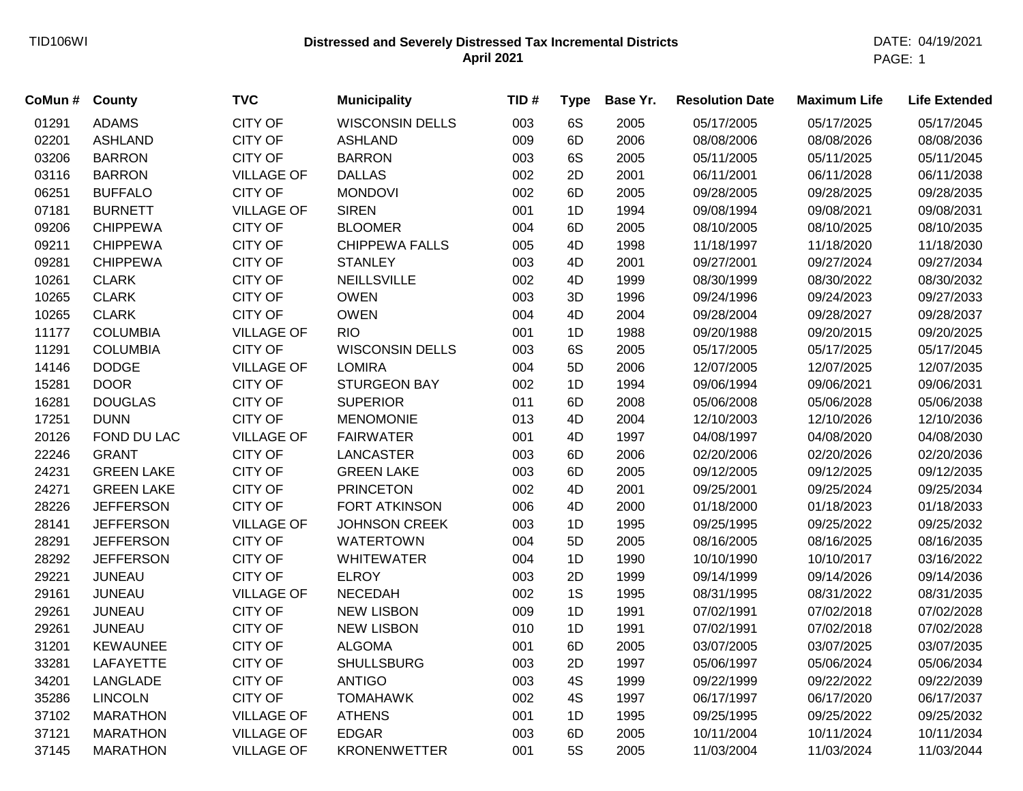## **Distressed and Severely Distressed Tax Incremental Districts** TID106WI DATE: 04/19/2021 **April 2021**

PAGE: 1

| CoMun # County |                   | <b>TVC</b>        | <b>Municipality</b>    | TID# | <b>Type</b> | Base Yr. | <b>Resolution Date</b> | <b>Maximum Life</b> | <b>Life Extended</b> |
|----------------|-------------------|-------------------|------------------------|------|-------------|----------|------------------------|---------------------|----------------------|
| 01291          | <b>ADAMS</b>      | <b>CITY OF</b>    | <b>WISCONSIN DELLS</b> | 003  | 6S          | 2005     | 05/17/2005             | 05/17/2025          | 05/17/2045           |
| 02201          | <b>ASHLAND</b>    | <b>CITY OF</b>    | <b>ASHLAND</b>         | 009  | 6D          | 2006     | 08/08/2006             | 08/08/2026          | 08/08/2036           |
| 03206          | <b>BARRON</b>     | <b>CITY OF</b>    | <b>BARRON</b>          | 003  | 6S          | 2005     | 05/11/2005             | 05/11/2025          | 05/11/2045           |
| 03116          | <b>BARRON</b>     | <b>VILLAGE OF</b> | <b>DALLAS</b>          | 002  | 2D          | 2001     | 06/11/2001             | 06/11/2028          | 06/11/2038           |
| 06251          | <b>BUFFALO</b>    | <b>CITY OF</b>    | <b>MONDOVI</b>         | 002  | 6D          | 2005     | 09/28/2005             | 09/28/2025          | 09/28/2035           |
| 07181          | <b>BURNETT</b>    | <b>VILLAGE OF</b> | <b>SIREN</b>           | 001  | 1D          | 1994     | 09/08/1994             | 09/08/2021          | 09/08/2031           |
| 09206          | <b>CHIPPEWA</b>   | <b>CITY OF</b>    | <b>BLOOMER</b>         | 004  | 6D          | 2005     | 08/10/2005             | 08/10/2025          | 08/10/2035           |
| 09211          | <b>CHIPPEWA</b>   | <b>CITY OF</b>    | CHIPPEWA FALLS         | 005  | 4D          | 1998     | 11/18/1997             | 11/18/2020          | 11/18/2030           |
| 09281          | <b>CHIPPEWA</b>   | <b>CITY OF</b>    | <b>STANLEY</b>         | 003  | 4D          | 2001     | 09/27/2001             | 09/27/2024          | 09/27/2034           |
| 10261          | <b>CLARK</b>      | <b>CITY OF</b>    | <b>NEILLSVILLE</b>     | 002  | 4D          | 1999     | 08/30/1999             | 08/30/2022          | 08/30/2032           |
| 10265          | <b>CLARK</b>      | <b>CITY OF</b>    | <b>OWEN</b>            | 003  | 3D          | 1996     | 09/24/1996             | 09/24/2023          | 09/27/2033           |
| 10265          | <b>CLARK</b>      | <b>CITY OF</b>    | <b>OWEN</b>            | 004  | 4D          | 2004     | 09/28/2004             | 09/28/2027          | 09/28/2037           |
| 11177          | <b>COLUMBIA</b>   | <b>VILLAGE OF</b> | <b>RIO</b>             | 001  | 1D          | 1988     | 09/20/1988             | 09/20/2015          | 09/20/2025           |
| 11291          | <b>COLUMBIA</b>   | <b>CITY OF</b>    | <b>WISCONSIN DELLS</b> | 003  | 6S          | 2005     | 05/17/2005             | 05/17/2025          | 05/17/2045           |
| 14146          | <b>DODGE</b>      | <b>VILLAGE OF</b> | <b>LOMIRA</b>          | 004  | 5D          | 2006     | 12/07/2005             | 12/07/2025          | 12/07/2035           |
| 15281          | <b>DOOR</b>       | <b>CITY OF</b>    | <b>STURGEON BAY</b>    | 002  | 1D          | 1994     | 09/06/1994             | 09/06/2021          | 09/06/2031           |
| 16281          | <b>DOUGLAS</b>    | <b>CITY OF</b>    | <b>SUPERIOR</b>        | 011  | 6D          | 2008     | 05/06/2008             | 05/06/2028          | 05/06/2038           |
| 17251          | <b>DUNN</b>       | <b>CITY OF</b>    | <b>MENOMONIE</b>       | 013  | 4D          | 2004     | 12/10/2003             | 12/10/2026          | 12/10/2036           |
| 20126          | FOND DU LAC       | <b>VILLAGE OF</b> | <b>FAIRWATER</b>       | 001  | 4D          | 1997     | 04/08/1997             | 04/08/2020          | 04/08/2030           |
| 22246          | <b>GRANT</b>      | <b>CITY OF</b>    | <b>LANCASTER</b>       | 003  | 6D          | 2006     | 02/20/2006             | 02/20/2026          | 02/20/2036           |
| 24231          | <b>GREEN LAKE</b> | <b>CITY OF</b>    | <b>GREEN LAKE</b>      | 003  | 6D          | 2005     | 09/12/2005             | 09/12/2025          | 09/12/2035           |
| 24271          | <b>GREEN LAKE</b> | <b>CITY OF</b>    | <b>PRINCETON</b>       | 002  | 4D          | 2001     | 09/25/2001             | 09/25/2024          | 09/25/2034           |
| 28226          | <b>JEFFERSON</b>  | <b>CITY OF</b>    | <b>FORT ATKINSON</b>   | 006  | 4D          | 2000     | 01/18/2000             | 01/18/2023          | 01/18/2033           |
| 28141          | <b>JEFFERSON</b>  | <b>VILLAGE OF</b> | <b>JOHNSON CREEK</b>   | 003  | 1D          | 1995     | 09/25/1995             | 09/25/2022          | 09/25/2032           |
| 28291          | <b>JEFFERSON</b>  | <b>CITY OF</b>    | <b>WATERTOWN</b>       | 004  | 5D          | 2005     | 08/16/2005             | 08/16/2025          | 08/16/2035           |
| 28292          | <b>JEFFERSON</b>  | <b>CITY OF</b>    | <b>WHITEWATER</b>      | 004  | 1D          | 1990     | 10/10/1990             | 10/10/2017          | 03/16/2022           |
| 29221          | <b>JUNEAU</b>     | <b>CITY OF</b>    | <b>ELROY</b>           | 003  | 2D          | 1999     | 09/14/1999             | 09/14/2026          | 09/14/2036           |
| 29161          | <b>JUNEAU</b>     | <b>VILLAGE OF</b> | <b>NECEDAH</b>         | 002  | 1S          | 1995     | 08/31/1995             | 08/31/2022          | 08/31/2035           |
| 29261          | <b>JUNEAU</b>     | <b>CITY OF</b>    | <b>NEW LISBON</b>      | 009  | 1D          | 1991     | 07/02/1991             | 07/02/2018          | 07/02/2028           |
| 29261          | <b>JUNEAU</b>     | <b>CITY OF</b>    | <b>NEW LISBON</b>      | 010  | 1D          | 1991     | 07/02/1991             | 07/02/2018          | 07/02/2028           |
| 31201          | <b>KEWAUNEE</b>   | <b>CITY OF</b>    | <b>ALGOMA</b>          | 001  | 6D          | 2005     | 03/07/2005             | 03/07/2025          | 03/07/2035           |
| 33281          | <b>LAFAYETTE</b>  | <b>CITY OF</b>    | <b>SHULLSBURG</b>      | 003  | 2D          | 1997     | 05/06/1997             | 05/06/2024          | 05/06/2034           |
| 34201          | LANGLADE          | <b>CITY OF</b>    | <b>ANTIGO</b>          | 003  | 4S          | 1999     | 09/22/1999             | 09/22/2022          | 09/22/2039           |
| 35286          | <b>LINCOLN</b>    | <b>CITY OF</b>    | <b>TOMAHAWK</b>        | 002  | 4S          | 1997     | 06/17/1997             | 06/17/2020          | 06/17/2037           |
| 37102          | <b>MARATHON</b>   | <b>VILLAGE OF</b> | <b>ATHENS</b>          | 001  | 1D          | 1995     | 09/25/1995             | 09/25/2022          | 09/25/2032           |
| 37121          | <b>MARATHON</b>   | <b>VILLAGE OF</b> | <b>EDGAR</b>           | 003  | 6D          | 2005     | 10/11/2004             | 10/11/2024          | 10/11/2034           |
| 37145          | <b>MARATHON</b>   | <b>VILLAGE OF</b> | <b>KRONENWETTER</b>    | 001  | <b>5S</b>   | 2005     | 11/03/2004             | 11/03/2024          | 11/03/2044           |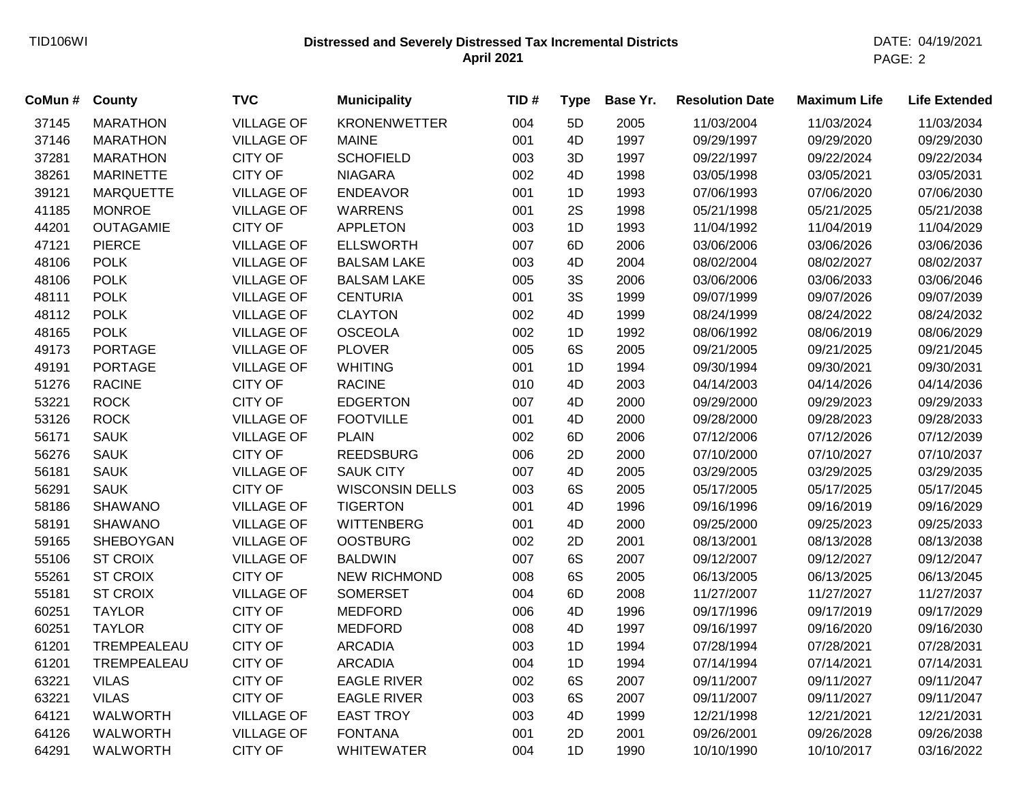## **Distressed and Severely Distressed Tax Incremental Districts** TID106WI DATE: 04/19/2021 **April 2021**

PAGE: 2

| CoMun# | County           | <b>TVC</b>        | <b>Municipality</b>    | TID# | <b>Type</b> | Base Yr. | <b>Resolution Date</b> | <b>Maximum Life</b> | <b>Life Extended</b> |
|--------|------------------|-------------------|------------------------|------|-------------|----------|------------------------|---------------------|----------------------|
| 37145  | <b>MARATHON</b>  | <b>VILLAGE OF</b> | <b>KRONENWETTER</b>    | 004  | 5D          | 2005     | 11/03/2004             | 11/03/2024          | 11/03/2034           |
| 37146  | <b>MARATHON</b>  | <b>VILLAGE OF</b> | <b>MAINE</b>           | 001  | 4D          | 1997     | 09/29/1997             | 09/29/2020          | 09/29/2030           |
| 37281  | <b>MARATHON</b>  | <b>CITY OF</b>    | <b>SCHOFIELD</b>       | 003  | 3D          | 1997     | 09/22/1997             | 09/22/2024          | 09/22/2034           |
| 38261  | <b>MARINETTE</b> | <b>CITY OF</b>    | <b>NIAGARA</b>         | 002  | 4D          | 1998     | 03/05/1998             | 03/05/2021          | 03/05/2031           |
| 39121  | <b>MARQUETTE</b> | <b>VILLAGE OF</b> | <b>ENDEAVOR</b>        | 001  | 1D          | 1993     | 07/06/1993             | 07/06/2020          | 07/06/2030           |
| 41185  | <b>MONROE</b>    | <b>VILLAGE OF</b> | <b>WARRENS</b>         | 001  | 2S          | 1998     | 05/21/1998             | 05/21/2025          | 05/21/2038           |
| 44201  | <b>OUTAGAMIE</b> | <b>CITY OF</b>    | <b>APPLETON</b>        | 003  | 1D          | 1993     | 11/04/1992             | 11/04/2019          | 11/04/2029           |
| 47121  | <b>PIERCE</b>    | <b>VILLAGE OF</b> | <b>ELLSWORTH</b>       | 007  | 6D          | 2006     | 03/06/2006             | 03/06/2026          | 03/06/2036           |
| 48106  | <b>POLK</b>      | <b>VILLAGE OF</b> | <b>BALSAM LAKE</b>     | 003  | 4D          | 2004     | 08/02/2004             | 08/02/2027          | 08/02/2037           |
| 48106  | <b>POLK</b>      | <b>VILLAGE OF</b> | <b>BALSAM LAKE</b>     | 005  | 3S          | 2006     | 03/06/2006             | 03/06/2033          | 03/06/2046           |
| 48111  | <b>POLK</b>      | <b>VILLAGE OF</b> | <b>CENTURIA</b>        | 001  | 3S          | 1999     | 09/07/1999             | 09/07/2026          | 09/07/2039           |
| 48112  | <b>POLK</b>      | <b>VILLAGE OF</b> | <b>CLAYTON</b>         | 002  | 4D          | 1999     | 08/24/1999             | 08/24/2022          | 08/24/2032           |
| 48165  | <b>POLK</b>      | <b>VILLAGE OF</b> | <b>OSCEOLA</b>         | 002  | 1D          | 1992     | 08/06/1992             | 08/06/2019          | 08/06/2029           |
| 49173  | <b>PORTAGE</b>   | <b>VILLAGE OF</b> | <b>PLOVER</b>          | 005  | 6S          | 2005     | 09/21/2005             | 09/21/2025          | 09/21/2045           |
| 49191  | <b>PORTAGE</b>   | <b>VILLAGE OF</b> | <b>WHITING</b>         | 001  | 1D          | 1994     | 09/30/1994             | 09/30/2021          | 09/30/2031           |
| 51276  | <b>RACINE</b>    | <b>CITY OF</b>    | <b>RACINE</b>          | 010  | 4D          | 2003     | 04/14/2003             | 04/14/2026          | 04/14/2036           |
| 53221  | <b>ROCK</b>      | <b>CITY OF</b>    | <b>EDGERTON</b>        | 007  | 4D          | 2000     | 09/29/2000             | 09/29/2023          | 09/29/2033           |
| 53126  | <b>ROCK</b>      | <b>VILLAGE OF</b> | <b>FOOTVILLE</b>       | 001  | 4D          | 2000     | 09/28/2000             | 09/28/2023          | 09/28/2033           |
| 56171  | <b>SAUK</b>      | <b>VILLAGE OF</b> | <b>PLAIN</b>           | 002  | 6D          | 2006     | 07/12/2006             | 07/12/2026          | 07/12/2039           |
| 56276  | <b>SAUK</b>      | <b>CITY OF</b>    | <b>REEDSBURG</b>       | 006  | 2D          | 2000     | 07/10/2000             | 07/10/2027          | 07/10/2037           |
| 56181  | <b>SAUK</b>      | <b>VILLAGE OF</b> | <b>SAUK CITY</b>       | 007  | 4D          | 2005     | 03/29/2005             | 03/29/2025          | 03/29/2035           |
| 56291  | <b>SAUK</b>      | <b>CITY OF</b>    | <b>WISCONSIN DELLS</b> | 003  | 6S          | 2005     | 05/17/2005             | 05/17/2025          | 05/17/2045           |
| 58186  | <b>SHAWANO</b>   | <b>VILLAGE OF</b> | <b>TIGERTON</b>        | 001  | 4D          | 1996     | 09/16/1996             | 09/16/2019          | 09/16/2029           |
| 58191  | <b>SHAWANO</b>   | <b>VILLAGE OF</b> | <b>WITTENBERG</b>      | 001  | 4D          | 2000     | 09/25/2000             | 09/25/2023          | 09/25/2033           |
| 59165  | <b>SHEBOYGAN</b> | <b>VILLAGE OF</b> | <b>OOSTBURG</b>        | 002  | 2D          | 2001     | 08/13/2001             | 08/13/2028          | 08/13/2038           |
| 55106  | <b>ST CROIX</b>  | <b>VILLAGE OF</b> | <b>BALDWIN</b>         | 007  | 6S          | 2007     | 09/12/2007             | 09/12/2027          | 09/12/2047           |
| 55261  | <b>ST CROIX</b>  | <b>CITY OF</b>    | <b>NEW RICHMOND</b>    | 008  | 6S          | 2005     | 06/13/2005             | 06/13/2025          | 06/13/2045           |
| 55181  | <b>ST CROIX</b>  | <b>VILLAGE OF</b> | <b>SOMERSET</b>        | 004  | 6D          | 2008     | 11/27/2007             | 11/27/2027          | 11/27/2037           |
| 60251  | <b>TAYLOR</b>    | <b>CITY OF</b>    | <b>MEDFORD</b>         | 006  | 4D          | 1996     | 09/17/1996             | 09/17/2019          | 09/17/2029           |
| 60251  | <b>TAYLOR</b>    | <b>CITY OF</b>    | <b>MEDFORD</b>         | 008  | 4D          | 1997     | 09/16/1997             | 09/16/2020          | 09/16/2030           |
| 61201  | TREMPEALEAU      | <b>CITY OF</b>    | <b>ARCADIA</b>         | 003  | 1D          | 1994     | 07/28/1994             | 07/28/2021          | 07/28/2031           |
| 61201  | TREMPEALEAU      | <b>CITY OF</b>    | <b>ARCADIA</b>         | 004  | 1D          | 1994     | 07/14/1994             | 07/14/2021          | 07/14/2031           |
| 63221  | <b>VILAS</b>     | <b>CITY OF</b>    | <b>EAGLE RIVER</b>     | 002  | 6S          | 2007     | 09/11/2007             | 09/11/2027          | 09/11/2047           |
| 63221  | <b>VILAS</b>     | <b>CITY OF</b>    | <b>EAGLE RIVER</b>     | 003  | 6S          | 2007     | 09/11/2007             | 09/11/2027          | 09/11/2047           |
| 64121  | WALWORTH         | <b>VILLAGE OF</b> | <b>EAST TROY</b>       | 003  | 4D          | 1999     | 12/21/1998             | 12/21/2021          | 12/21/2031           |
| 64126  | WALWORTH         | <b>VILLAGE OF</b> | <b>FONTANA</b>         | 001  | 2D          | 2001     | 09/26/2001             | 09/26/2028          | 09/26/2038           |
| 64291  | <b>WALWORTH</b>  | <b>CITY OF</b>    | <b>WHITEWATER</b>      | 004  | 1D          | 1990     | 10/10/1990             | 10/10/2017          | 03/16/2022           |